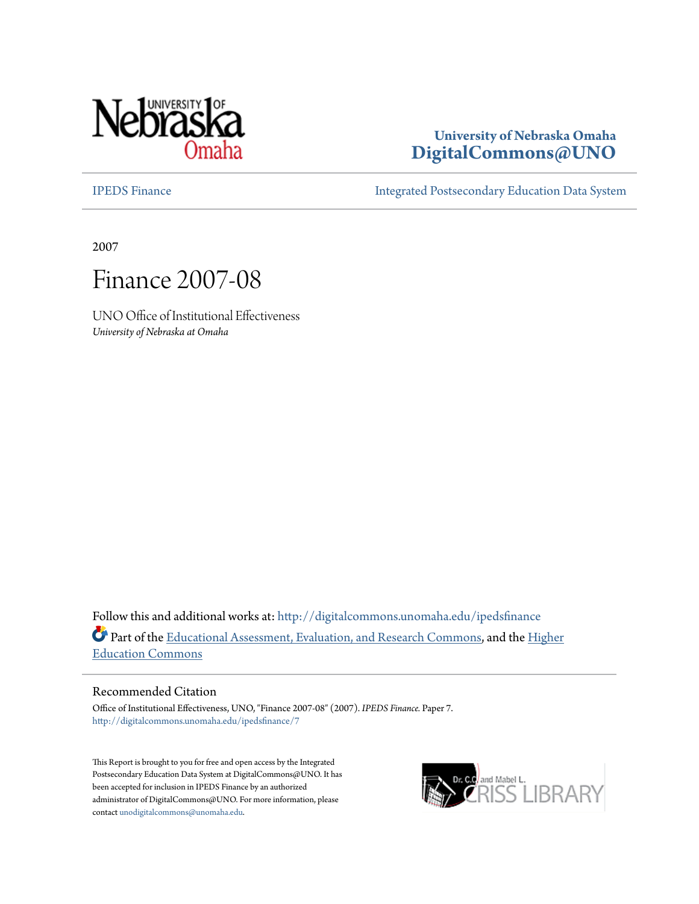

# **University of Nebraska Omaha [DigitalCommons@UNO](http://digitalcommons.unomaha.edu?utm_source=digitalcommons.unomaha.edu%2Fipedsfinance%2F7&utm_medium=PDF&utm_campaign=PDFCoverPages)**

[IPEDS Finance](http://digitalcommons.unomaha.edu/ipedsfinance?utm_source=digitalcommons.unomaha.edu%2Fipedsfinance%2F7&utm_medium=PDF&utm_campaign=PDFCoverPages) [Integrated Postsecondary Education Data System](http://digitalcommons.unomaha.edu/oieipeds?utm_source=digitalcommons.unomaha.edu%2Fipedsfinance%2F7&utm_medium=PDF&utm_campaign=PDFCoverPages)

2007



UNO Office of Institutional Effectiveness *University of Nebraska at Omaha*

Follow this and additional works at: [http://digitalcommons.unomaha.edu/ipedsfinance](http://digitalcommons.unomaha.edu/ipedsfinance?utm_source=digitalcommons.unomaha.edu%2Fipedsfinance%2F7&utm_medium=PDF&utm_campaign=PDFCoverPages) Part of the [Educational Assessment, Evaluation, and Research Commons,](http://network.bepress.com/hgg/discipline/796?utm_source=digitalcommons.unomaha.edu%2Fipedsfinance%2F7&utm_medium=PDF&utm_campaign=PDFCoverPages) and the [Higher](http://network.bepress.com/hgg/discipline/1245?utm_source=digitalcommons.unomaha.edu%2Fipedsfinance%2F7&utm_medium=PDF&utm_campaign=PDFCoverPages) [Education Commons](http://network.bepress.com/hgg/discipline/1245?utm_source=digitalcommons.unomaha.edu%2Fipedsfinance%2F7&utm_medium=PDF&utm_campaign=PDFCoverPages)

### Recommended Citation

Office of Institutional Effectiveness, UNO, "Finance 2007-08" (2007). *IPEDS Finance.* Paper 7. [http://digitalcommons.unomaha.edu/ipedsfinance/7](http://digitalcommons.unomaha.edu/ipedsfinance/7?utm_source=digitalcommons.unomaha.edu%2Fipedsfinance%2F7&utm_medium=PDF&utm_campaign=PDFCoverPages)

This Report is brought to you for free and open access by the Integrated Postsecondary Education Data System at DigitalCommons@UNO. It has been accepted for inclusion in IPEDS Finance by an authorized administrator of DigitalCommons@UNO. For more information, please contact [unodigitalcommons@unomaha.edu.](mailto:unodigitalcommons@unomaha.edu)

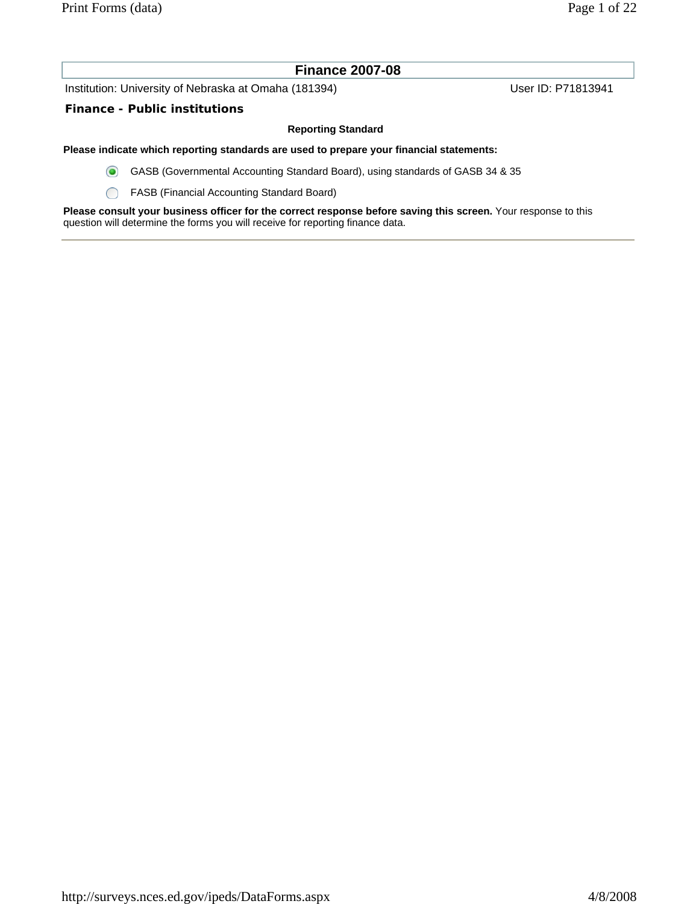## **Finance 2007-08**

Institution: University of Nebraska at Omaha (181394) User ID: P71813941

#### **Finance - Public institutions**

#### **Reporting Standard**

#### **Please indicate which reporting standards are used to prepare your financial statements:**

G GASB (Governmental Accounting Standard Board), using standards of GASB 34 & 35

**C** FASB (Financial Accounting Standard Board)

**Please consult your business officer for the correct response before saving this screen.** Your response to this question will determine the forms you will receive for reporting finance data.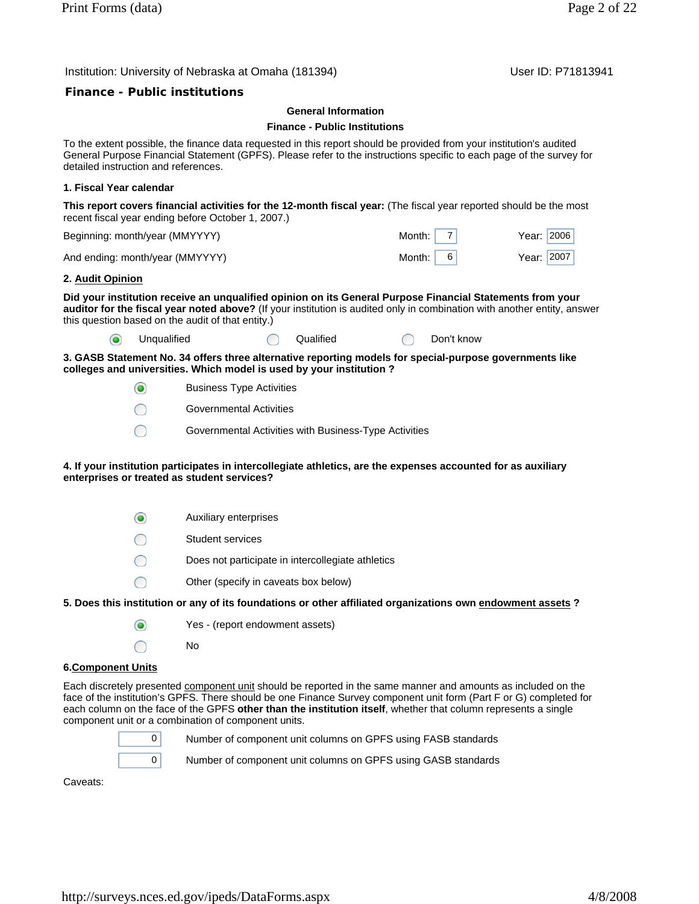User ID: P71813941

|  | Institution: University of Nebraska at Omaha (181394) |  |
|--|-------------------------------------------------------|--|
|--|-------------------------------------------------------|--|

#### **Finance - Public institutions**

#### **General Information**

#### **Finance - Public Institutions**

To the extent possible, the finance data requested in this report should be provided from your institution's audited General Purpose Financial Statement (GPFS). Please refer to the instructions specific to each page of the survey for detailed instruction and references.

#### **1. Fiscal Year calendar**

**This report covers financial activities for the 12-month fiscal year:** (The fiscal year reported should be the most recent fiscal year ending before October 1, 2007.)

| Beginning: month/year (MMYYYY)  | Month: I        | Year: 2006 |
|---------------------------------|-----------------|------------|
| And ending: month/year (MMYYYY) | Month: $6 \mid$ | Year: 2007 |

#### **2. Audit Opinion**

**Did your institution receive an unqualified opinion on its General Purpose Financial Statements from your auditor for the fiscal year noted above?** (If your institution is audited only in combination with another entity, answer this question based on the audit of that entity.)

|  | Unqualified | Qualified | Don't know |
|--|-------------|-----------|------------|
|  |             |           |            |

| Jnqualified |  |
|-------------|--|
|             |  |

| Quali |  |
|-------|--|
|       |  |
|       |  |

**3. GASB Statement No. 34 offers three alternative reporting models for special-purpose governments like colleges and universities. Which model is used by your institution ?**

◯ Governmental Activities

◯ Governmental Activities with Business-Type Activities

#### **4. If your institution participates in intercollegiate athletics, are the expenses accounted for as auxiliary enterprises or treated as student services?**

|  | Auxiliary enterprises |
|--|-----------------------|
|--|-----------------------|

Student services

**C** Does not participate in intercollegiate athletics

Other (specify in caveats box below)

#### **5. Does this institution or any of its foundations or other affiliated organizations own endowment assets ?**

Yes - (report endowment assets)

No

#### **6.Component Units**

Each discretely presented component unit should be reported in the same manner and amounts as included on the face of the institution's GPFS. There should be one Finance Survey component unit form (Part F or G) completed for each column on the face of the GPFS **other than the institution itself**, whether that column represents a single component unit or a combination of component units.



∩

0 Number of component unit columns on GPFS using FASB standards

0 Number of component unit columns on GPFS using GASB standards

Caveats: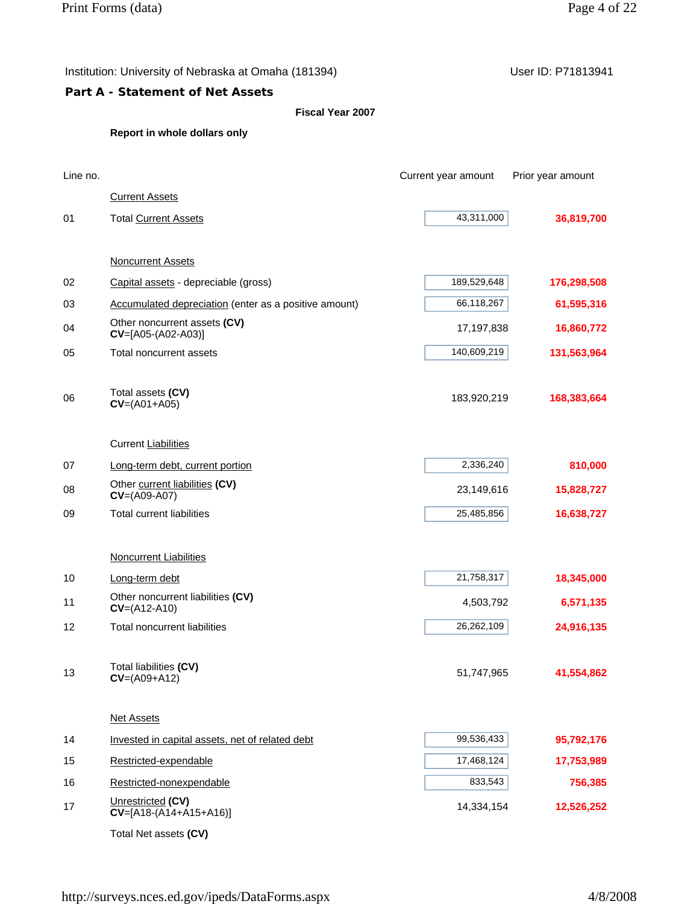Institution: University of Nebraska at Omaha (181394) User ID: P71813941 **Part A - Statement of Net Assets Fiscal Year 2007 Report in whole dollars only** Line no. **Current year amount** Prior year amount Prior year amount Prior year amount Current Assets 01 Total <u>Current Assets</u> 6 **1 12 13 13 14 143,311,000** 36,819,700 Noncurrent Assets 02 Capital assets - depreciable (gross) 189,529,648 **176,298,508** 03 Accumulated depreciation (enter as a positive amount) 66,118,267 **61,595,316** <sup>04</sup> Other noncurrent assets **(CV) CV**=[A05-(A02-A03)] **17,197,838** 16,860,772 05 Total noncurrent assets 131,563,964 **131,563,964** 140,609,219 <sup>06</sup> Total assets **(CV)**  183,920,219 **168,383,664**<br>**CV**=(A01+A05) Current Liabilities 07 Long-term debt, current portion 2,336,240 **810,000** <sup>08</sup> Other current liabilities **(CV) CV**=(A09-A07) **CV**=(A09-A07) **23,149,616** 15,828,727 09 Total current liabilities 25,485,856 **16,638,727** Noncurrent Liabilities 10 Long-term debt 21,758,317 **18,345,000** 11 Other noncurrent liabilities **(CV)**<br>**CV**=(A12-A10) **CV**=(A12-A10) 4,503,792 **6,571,135** 12 Total noncurrent liabilities **26,262,109** 24,916,135 <sup>13</sup> Total liabilities **(CV) CV**=(A09+A12) **41,554,862 CV**=(A09+A12) Net Assets 14 Invested in capital assets, net of related debt 99,536,433 **95,792,176** 15 Restricted-expendable 17,468,124 **17,753,989** 16 Restricted-nonexpendable 833,543 **756,385** <sup>17</sup> Unrestricted **(CV)**  <u>CHIESINGEO</u> (CV)<br>**CV**=[A18-(A14+A15+A16)] 14,334,154 12,**526,252** 

Total Net assets **(CV)**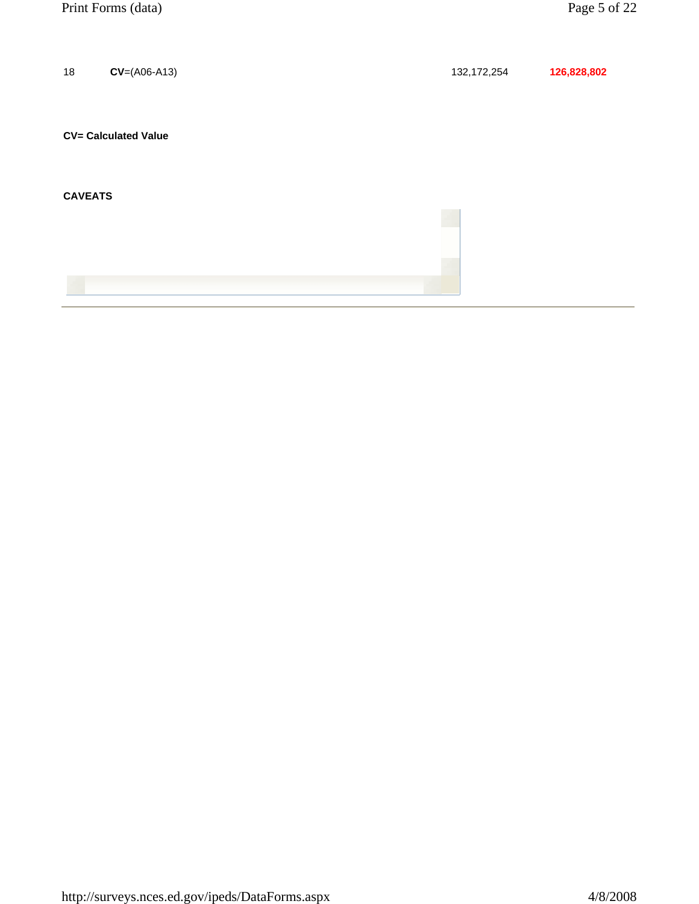| 18             | $CV=(AO6-A13)$              | 132,172,254 | 126,828,802 |
|----------------|-----------------------------|-------------|-------------|
|                |                             |             |             |
|                | <b>CV= Calculated Value</b> |             |             |
|                |                             |             |             |
| <b>CAVEATS</b> |                             |             |             |
|                |                             |             |             |
|                |                             |             |             |
|                |                             |             |             |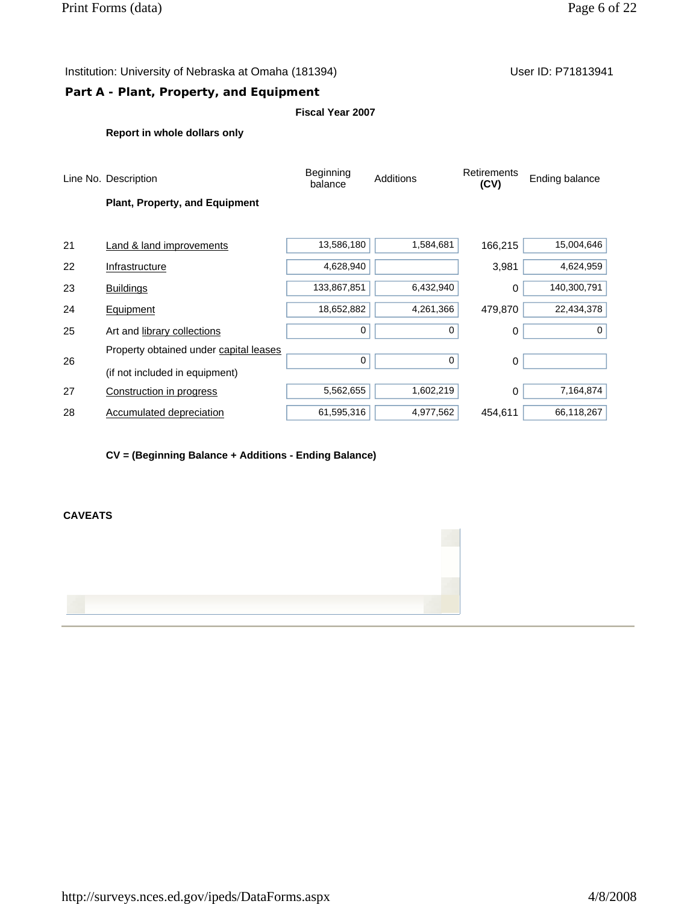#### **Part A - Plant, Property, and Equipment**

#### **Fiscal Year 2007**

#### **Report in whole dollars only**

|    | Line No. Description                   | Beginning<br>balance | <b>Additions</b> | <b>Retirements</b><br>(CV) | Ending balance |
|----|----------------------------------------|----------------------|------------------|----------------------------|----------------|
|    | <b>Plant, Property, and Equipment</b>  |                      |                  |                            |                |
|    |                                        |                      |                  |                            |                |
| 21 | Land & land improvements               | 13,586,180           | 1,584,681        | 166,215                    | 15,004,646     |
| 22 | Infrastructure                         | 4,628,940            |                  | 3,981                      | 4,624,959      |
| 23 | <b>Buildings</b>                       | 133,867,851          | 6,432,940        | $\Omega$                   | 140,300,791    |
| 24 | Equipment                              | 18,652,882           | 4,261,366        | 479,870                    | 22,434,378     |
| 25 | Art and library collections            | 0                    | 0                | 0                          | 0              |
|    | Property obtained under capital leases |                      |                  |                            |                |
| 26 | (if not included in equipment)         | 0                    | $\Omega$         | 0                          |                |
| 27 | Construction in progress               | 5,562,655            | 1,602,219        | $\mathbf 0$                | 7,164,874      |
| 28 | Accumulated depreciation               | 61,595,316           | 4,977,562        | 454.611                    | 66,118,267     |

**CV = (Beginning Balance + Additions - Ending Balance)**

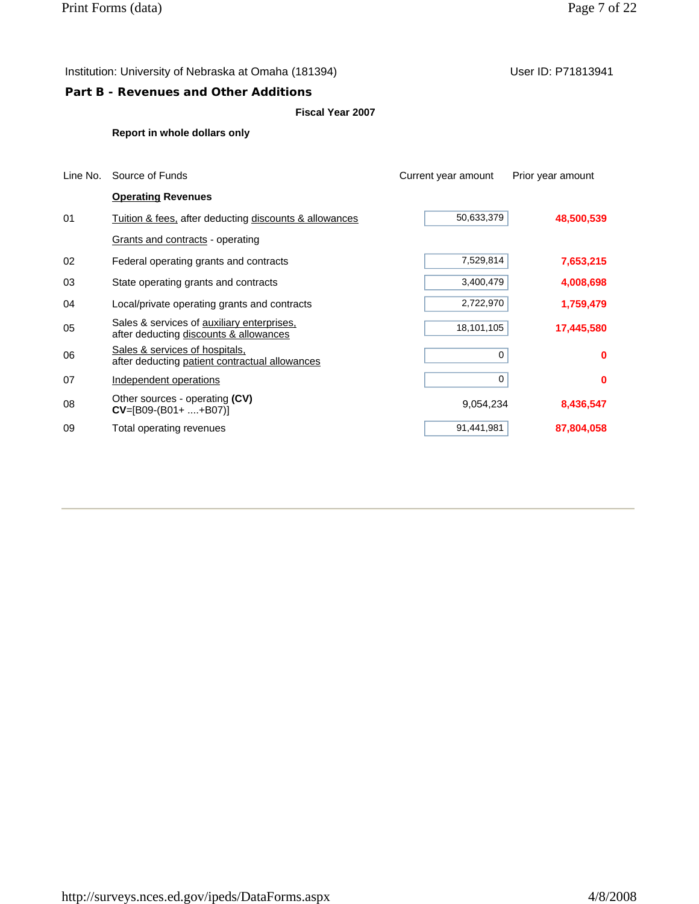## **Part B - Revenues and Other Additions**

#### **Fiscal Year 2007**

#### **Report in whole dollars only**

| Line No. | Source of Funds                                                                      | Current year amount | Prior year amount |
|----------|--------------------------------------------------------------------------------------|---------------------|-------------------|
|          | <b>Operating Revenues</b>                                                            |                     |                   |
| 01       | Tuition & fees, after deducting discounts & allowances                               | 50,633,379          | 48,500,539        |
|          | Grants and contracts - operating                                                     |                     |                   |
| 02       | Federal operating grants and contracts                                               | 7,529,814           | 7,653,215         |
| 03       | State operating grants and contracts                                                 | 3,400,479           | 4,008,698         |
| 04       | Local/private operating grants and contracts                                         | 2,722,970           | 1,759,479         |
| 05       | Sales & services of auxiliary enterprises,<br>after deducting discounts & allowances | 18,101,105          | 17,445,580        |
| 06       | Sales & services of hospitals,<br>after deducting patient contractual allowances     | 0                   | $\bf{0}$          |
| 07       | Independent operations                                                               | 0                   | $\bf{0}$          |
| 08       | Other sources - operating (CV)<br>$CV=[B09-(B01++B07)]$                              | 9,054,234           | 8,436,547         |
| 09       | Total operating revenues                                                             | 91,441,981          | 87,804,058        |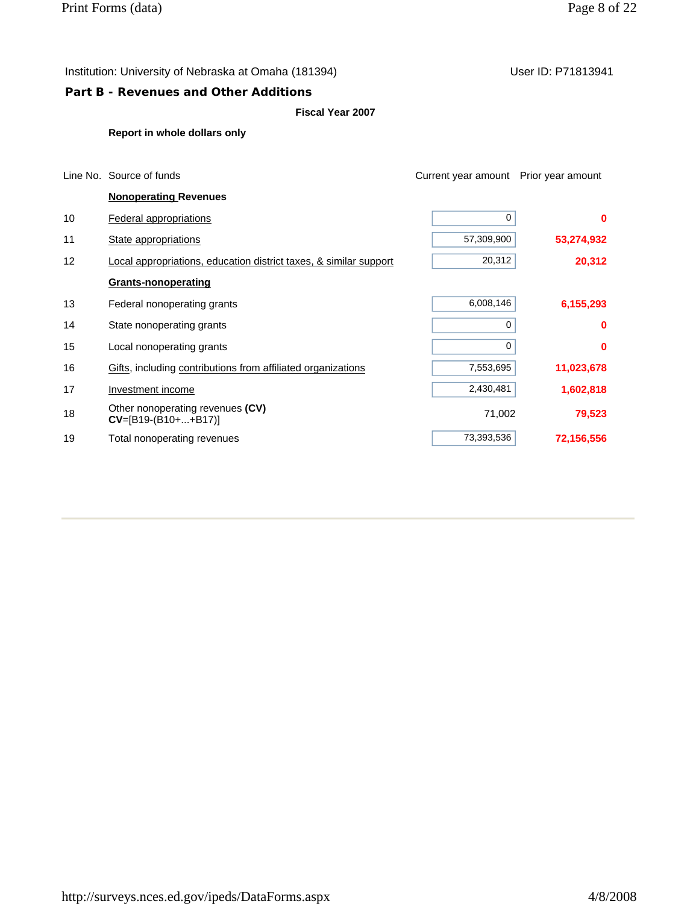### **Part B - Revenues and Other Additions**

#### **Fiscal Year 2007**

## **Report in whole dollars only**

|    | Line No. Source of funds                                          | Current year amount Prior year amount |              |
|----|-------------------------------------------------------------------|---------------------------------------|--------------|
|    | <b>Nonoperating Revenues</b>                                      |                                       |              |
| 10 | <b>Federal appropriations</b>                                     | 0                                     | $\mathbf{0}$ |
| 11 | State appropriations                                              | 57,309,900                            | 53,274,932   |
| 12 | Local appropriations, education district taxes, & similar support | 20,312                                | 20,312       |
|    | <b>Grants-nonoperating</b>                                        |                                       |              |
| 13 | Federal nonoperating grants                                       | 6,008,146                             | 6,155,293    |
| 14 | State nonoperating grants                                         | 0                                     | $\bf{0}$     |
| 15 | Local nonoperating grants                                         | 0                                     | $\mathbf{0}$ |
| 16 | Gifts, including contributions from affiliated organizations      | 7,553,695                             | 11,023,678   |
| 17 | Investment income                                                 | 2,430,481                             | 1,602,818    |
| 18 | Other nonoperating revenues (CV)<br>$CV=[B19-(B10++B17)]$         | 71,002                                | 79,523       |
| 19 | Total nonoperating revenues                                       | 73,393,536                            | 72,156,556   |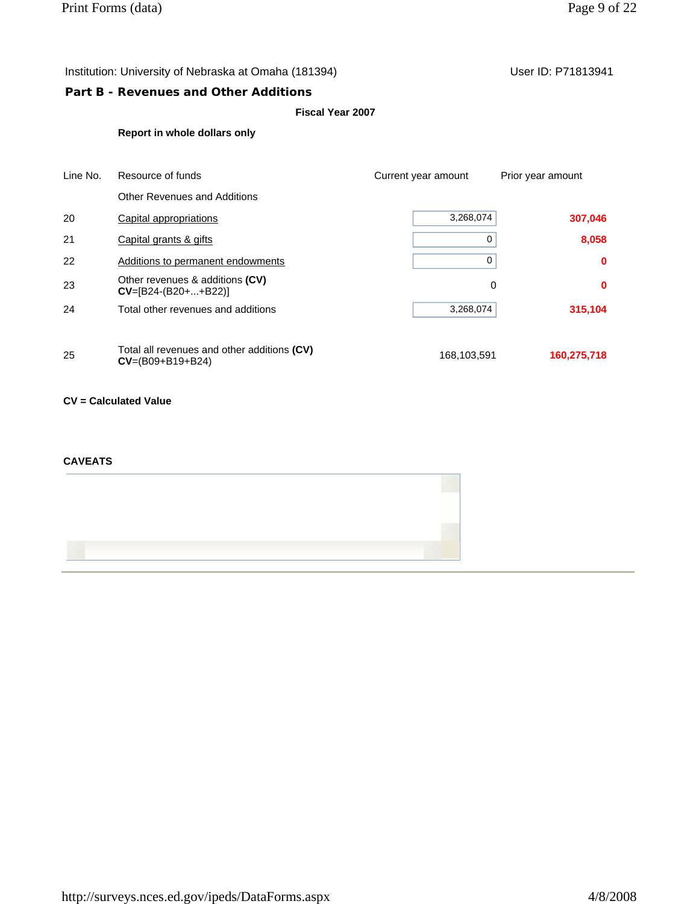## **Part B - Revenues and Other Additions**

#### **Fiscal Year 2007**

#### **Report in whole dollars only**

| Line No. | Resource of funds                                                 | Current year amount | Prior year amount |
|----------|-------------------------------------------------------------------|---------------------|-------------------|
|          | <b>Other Revenues and Additions</b>                               |                     |                   |
| 20       | Capital appropriations                                            | 3,268,074           | 307,046           |
| 21       | Capital grants & gifts                                            | 0                   | 8,058             |
| 22       | Additions to permanent endowments                                 | 0                   | $\mathbf{0}$      |
| 23       | Other revenues & additions (CV)<br>$CV=[B24-(B20++B22)]$          | $\Omega$            | $\bf{0}$          |
| 24       | Total other revenues and additions                                | 3,268,074           | 315,104           |
|          |                                                                   |                     |                   |
| 25       | Total all revenues and other additions (CV)<br>$CV=(B09+B19+B24)$ | 168,103,591         | 160,275,718       |

#### **CV = Calculated Value**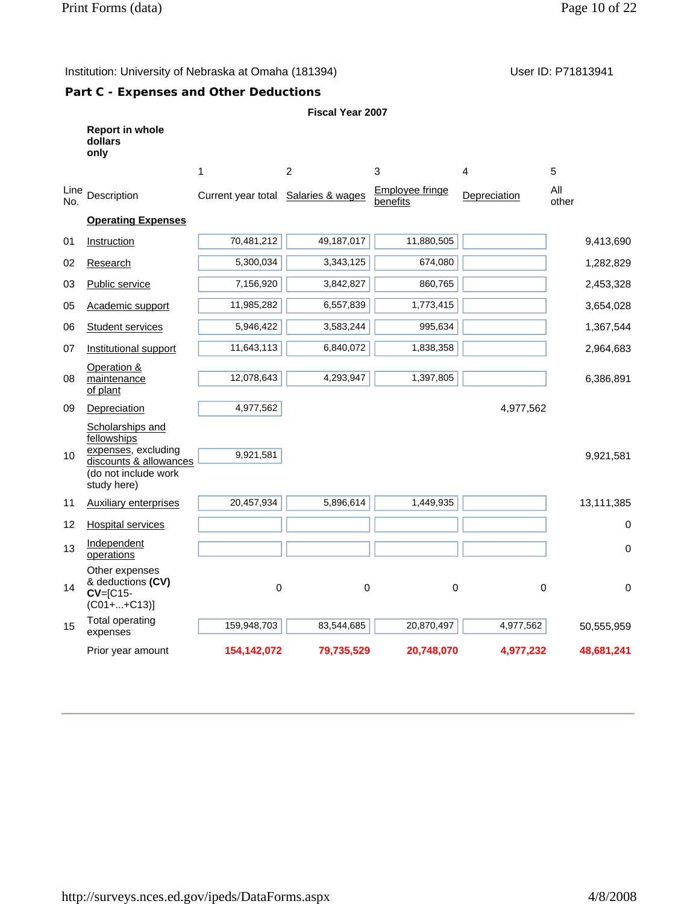## **Part C - Expenses and Other Deductions**

|             |                                                                                                                         |                                     | <b>Fiscal Year 2007</b> |                             |              |              |
|-------------|-------------------------------------------------------------------------------------------------------------------------|-------------------------------------|-------------------------|-----------------------------|--------------|--------------|
|             | <b>Report in whole</b><br>dollars<br>only                                                                               |                                     |                         |                             |              |              |
|             |                                                                                                                         | $\mathbf{1}$                        | $\overline{2}$          | 3                           | 4            | 5            |
| Line<br>No. | Description                                                                                                             | Current year total Salaries & wages |                         | Employee fringe<br>benefits | Depreciation | All<br>other |
|             | <b>Operating Expenses</b>                                                                                               |                                     |                         |                             |              |              |
| 01          | Instruction                                                                                                             | 70,481,212                          | 49,187,017              | 11,880,505                  |              | 9,413,690    |
| 02          | Research                                                                                                                | 5,300,034                           | 3,343,125               | 674,080                     |              | 1,282,829    |
| 03          | Public service                                                                                                          | 7,156,920                           | 3,842,827               | 860,765                     |              | 2,453,328    |
| 05          | Academic support                                                                                                        | 11,985,282                          | 6,557,839               | 1,773,415                   |              | 3,654,028    |
| 06          | <b>Student services</b>                                                                                                 | 5,946,422                           | 3,583,244               | 995,634                     |              | 1,367,544    |
| 07          | Institutional support                                                                                                   | 11,643,113                          | 6,840,072               | 1,838,358                   |              | 2,964,683    |
| 08          | Operation &<br>maintenance<br>of plant                                                                                  | 12,078,643                          | 4,293,947               | 1,397,805                   |              | 6,386,891    |
| 09          | Depreciation                                                                                                            | 4,977,562                           |                         |                             | 4,977,562    |              |
| 10          | Scholarships and<br>fellowships<br>expenses, excluding<br>discounts & allowances<br>(do not include work<br>study here) | 9,921,581                           |                         |                             |              | 9,921,581    |
| 11          | <b>Auxiliary enterprises</b>                                                                                            | 20,457,934                          | 5,896,614               | 1,449,935                   |              | 13,111,385   |
| 12          | <b>Hospital services</b>                                                                                                |                                     |                         |                             |              | 0            |
| 13          | Independent<br>operations                                                                                               |                                     |                         |                             |              | $\mathbf 0$  |
| 14          | Other expenses<br>& deductions (CV)<br>$CV = IC15 -$<br>$(C01 +  + C13)$                                                | $\mathbf 0$                         | 0                       | $\mathbf 0$                 | $\mathbf 0$  | 0            |
| 15          | <b>Total operating</b><br>expenses                                                                                      | 159,948,703                         | 83,544,685              | 20,870,497                  | 4,977,562    | 50,555,959   |
|             | Prior year amount                                                                                                       | 154,142,072                         | 79,735,529              | 20,748,070                  | 4,977,232    | 48,681,241   |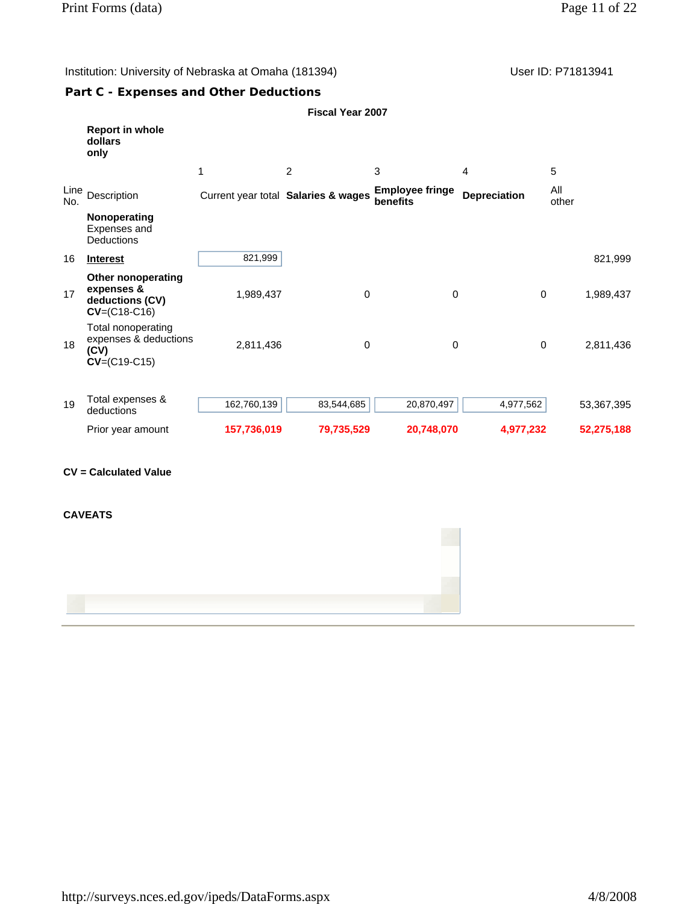## **Part C - Expenses and Other Deductions**

|             | Fiscal Year 2007                                                      |                            |                                     |                                    |                        |                          |  |
|-------------|-----------------------------------------------------------------------|----------------------------|-------------------------------------|------------------------------------|------------------------|--------------------------|--|
|             | <b>Report in whole</b><br>dollars<br>only                             |                            |                                     |                                    |                        |                          |  |
|             |                                                                       | 1                          | $\overline{2}$                      | 3                                  | 4                      | 5                        |  |
| Line<br>No. | Description                                                           |                            | Current year total Salaries & wages | <b>Employee fringe</b><br>benefits | <b>Depreciation</b>    | All<br>other             |  |
|             | Nonoperating<br>Expenses and<br>Deductions                            |                            |                                     |                                    |                        |                          |  |
| 16          | <b>Interest</b>                                                       | 821,999                    |                                     |                                    |                        | 821,999                  |  |
| 17          | Other nonoperating<br>expenses &<br>deductions (CV)<br>$CV=(C18-C16)$ | 1,989,437                  | $\mathbf 0$                         | $\mathbf 0$                        | $\mathbf 0$            | 1,989,437                |  |
| 18          | Total nonoperating<br>expenses & deductions<br>(CV)<br>$CV=(C19-C15)$ | 2,811,436                  | $\Omega$                            | $\boldsymbol{0}$                   | $\mathbf{0}$           | 2,811,436                |  |
| 19          | Total expenses &<br>deductions                                        | 162,760,139<br>157,736,019 | 83,544,685<br>79,735,529            | 20,870,497<br>20,748,070           | 4,977,562<br>4,977,232 | 53,367,395<br>52,275,188 |  |
|             | Prior year amount                                                     |                            |                                     |                                    |                        |                          |  |

**CV = Calculated Value**

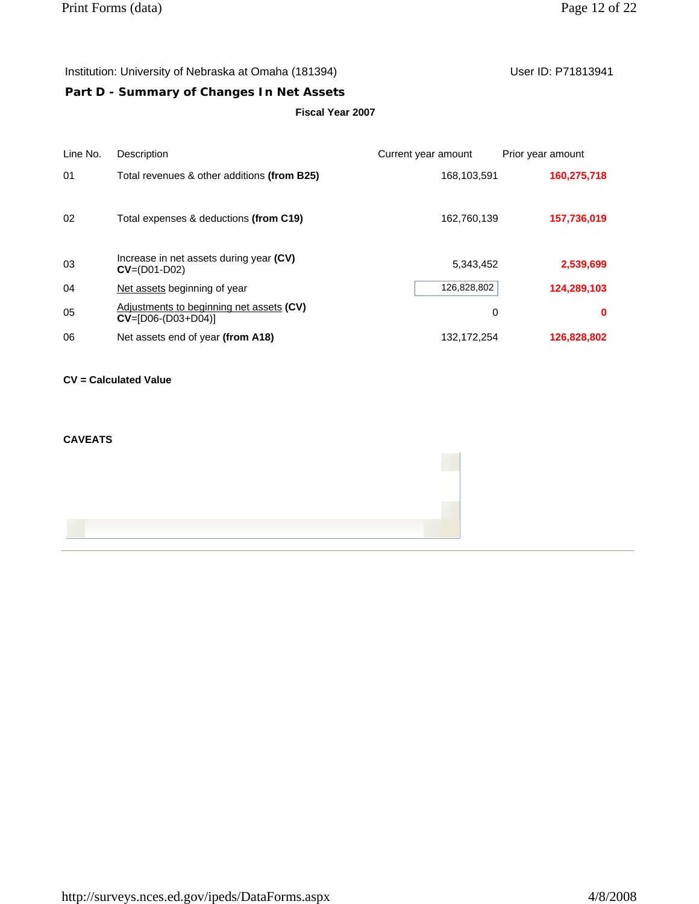## **Part D - Summary of Changes In Net Assets**

## **Fiscal Year 2007**

| Line No. | Description                                                      | Current year amount | Prior year amount |
|----------|------------------------------------------------------------------|---------------------|-------------------|
| 01       | Total revenues & other additions (from B25)                      | 168,103,591         | 160,275,718       |
| 02       | Total expenses & deductions (from C19)                           | 162,760,139         | 157,736,019       |
| 03       | Increase in net assets during year (CV)<br>$CV=(D01-D02)$        | 5,343,452           | 2,539,699         |
| 04       | Net assets beginning of year                                     | 126,828,802         | 124,289,103       |
| 05       | Adjustments to beginning net assets (CV)<br>$CV=[D06-(D03+D04)]$ | 0                   | 0                 |
| 06       | Net assets end of year (from A18)                                | 132.172.254         | 126,828,802       |

#### **CV = Calculated Value**

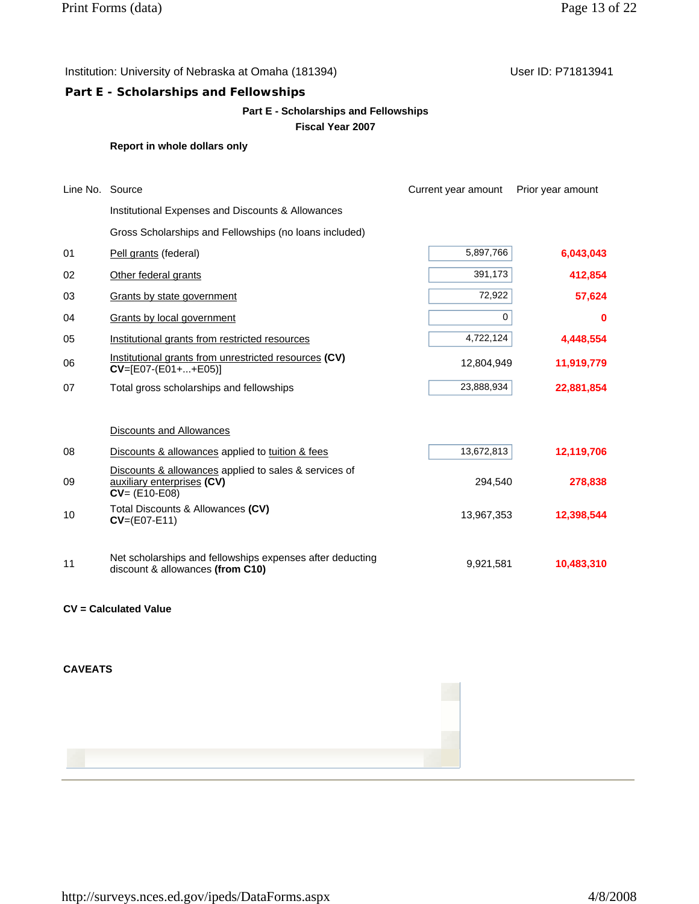## **Part E - Scholarships and Fellowships**

# **Part E - Scholarships and Fellowships**

**Fiscal Year 2007**

## **Report in whole dollars only**

| Line No. Source |                                                                                                         | Current year amount | Prior year amount |
|-----------------|---------------------------------------------------------------------------------------------------------|---------------------|-------------------|
|                 | Institutional Expenses and Discounts & Allowances                                                       |                     |                   |
|                 | Gross Scholarships and Fellowships (no loans included)                                                  |                     |                   |
| 01              | Pell grants (federal)                                                                                   | 5,897,766           | 6,043,043         |
| 02              | Other federal grants                                                                                    | 391,173             | 412,854           |
| 03              | Grants by state government                                                                              | 72,922              | 57,624            |
| 04              | Grants by local government                                                                              | 0                   | 0                 |
| 05              | Institutional grants from restricted resources                                                          | 4,722,124           | 4,448,554         |
| 06              | Institutional grants from unrestricted resources (CV)<br>$CV = [E07 - (E01 +  + E05)]$                  | 12,804,949          | 11,919,779        |
| 07              | Total gross scholarships and fellowships                                                                | 23,888,934          | 22,881,854        |
|                 |                                                                                                         |                     |                   |
|                 | Discounts and Allowances                                                                                |                     |                   |
| 08              | Discounts & allowances applied to tuition & fees                                                        | 13,672,813          | 12,119,706        |
| 09              | Discounts & allowances applied to sales & services of<br>auxiliary enterprises (CV)<br>$CV = (E10-E08)$ | 294,540             | 278,838           |
| 10              | Total Discounts & Allowances (CV)<br>$CV=(E07-E11)$                                                     | 13,967,353          | 12,398,544        |
| 11              | Net scholarships and fellowships expenses after deducting<br>discount & allowances (from C10)           | 9,921,581           | 10,483,310        |

#### **CV = Calculated Value**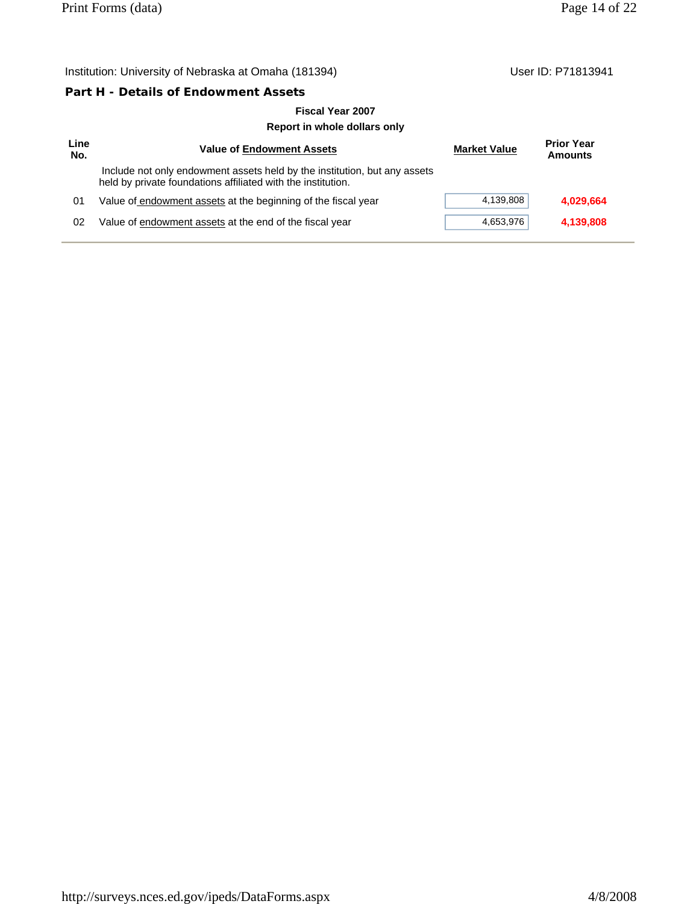|             | Institution: University of Nebraska at Omaha (181394)                                                                                     | User ID: P71813941  |                                     |
|-------------|-------------------------------------------------------------------------------------------------------------------------------------------|---------------------|-------------------------------------|
|             | Part H - Details of Endowment Assets                                                                                                      |                     |                                     |
|             | <b>Fiscal Year 2007</b><br>Report in whole dollars only                                                                                   |                     |                                     |
| Line<br>No. | <b>Value of Endowment Assets</b>                                                                                                          | <b>Market Value</b> | <b>Prior Year</b><br><b>Amounts</b> |
|             | Include not only endowment assets held by the institution, but any assets<br>held by private foundations affiliated with the institution. |                     |                                     |
| 01          | Value of endowment assets at the beginning of the fiscal year                                                                             | 4,139,808           | 4.029.664                           |
| 02          | Value of endowment assets at the end of the fiscal year                                                                                   | 4,653,976           | 4,139,808                           |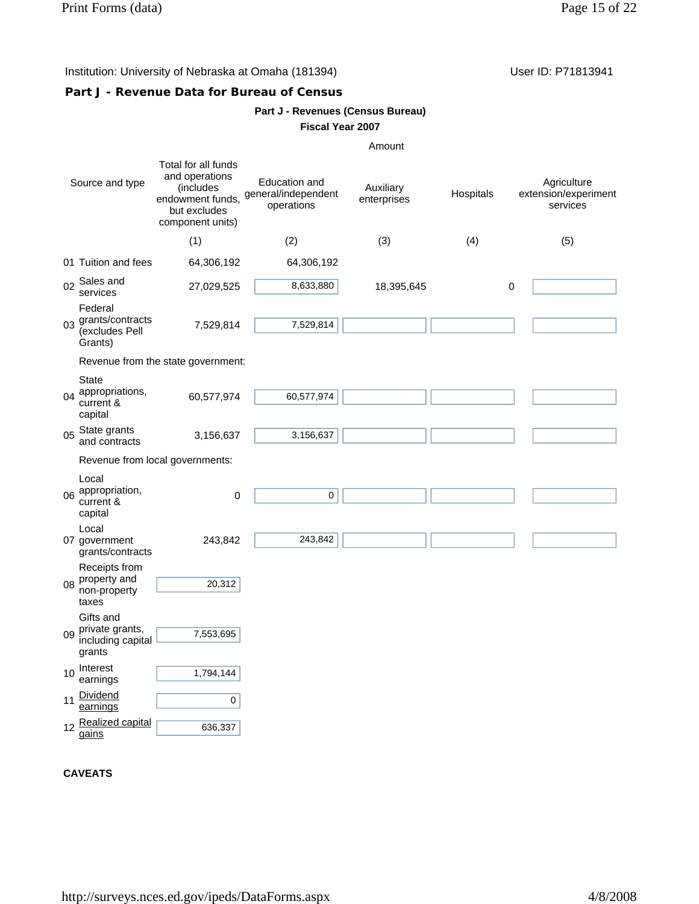## **Part J - Revenue Data for Bureau of Census**

# **Part J - Revenues (Census Bureau)**

**Fiscal Year 2007** 

|    |                                                             |                                                                                                            |                                                           | Amount                   |           |                                                 |
|----|-------------------------------------------------------------|------------------------------------------------------------------------------------------------------------|-----------------------------------------------------------|--------------------------|-----------|-------------------------------------------------|
|    | Source and type                                             | Total for all funds<br>and operations<br>(includes<br>endowment funds,<br>but excludes<br>component units) | <b>Education and</b><br>general/independent<br>operations | Auxiliary<br>enterprises | Hospitals | Agriculture<br>extension/experiment<br>services |
|    |                                                             | (1)                                                                                                        | (2)                                                       | (3)                      | (4)       | (5)                                             |
|    | 01 Tuition and fees                                         | 64,306,192                                                                                                 | 64,306,192                                                |                          |           |                                                 |
| 02 | Sales and<br>services                                       | 27,029,525                                                                                                 | 8,633,880                                                 | 18,395,645               | 0         |                                                 |
|    | Federal<br>03 grants/contracts<br>(excludes Pell<br>Grants) | 7,529,814                                                                                                  | 7,529,814                                                 |                          |           |                                                 |
|    |                                                             | Revenue from the state government:                                                                         |                                                           |                          |           |                                                 |
| 04 | State<br>appropriations,<br>current &<br>capital            | 60,577,974                                                                                                 | 60,577,974                                                |                          |           |                                                 |
| 05 | State grants<br>and contracts                               | 3,156,637                                                                                                  | 3,156,637                                                 |                          |           |                                                 |
|    |                                                             | Revenue from local governments:                                                                            |                                                           |                          |           |                                                 |
|    | Local<br>06 appropriation,<br>current &<br>capital          | 0                                                                                                          | 0                                                         |                          |           |                                                 |
|    | Local<br>07 government<br>grants/contracts                  | 243,842                                                                                                    | 243,842                                                   |                          |           |                                                 |
|    | Receipts from<br>08 property and<br>non-property<br>taxes   | 20,312                                                                                                     |                                                           |                          |           |                                                 |
| 09 | Gifts and<br>private grants,<br>including capital<br>grants | 7,553,695                                                                                                  |                                                           |                          |           |                                                 |
| 10 | Interest<br>earnings                                        | 1,794,144                                                                                                  |                                                           |                          |           |                                                 |
| 11 | Dividend<br>earnings                                        | $\pmb{0}$                                                                                                  |                                                           |                          |           |                                                 |
|    | 12 Realized capital<br>gains                                | 636,337                                                                                                    |                                                           |                          |           |                                                 |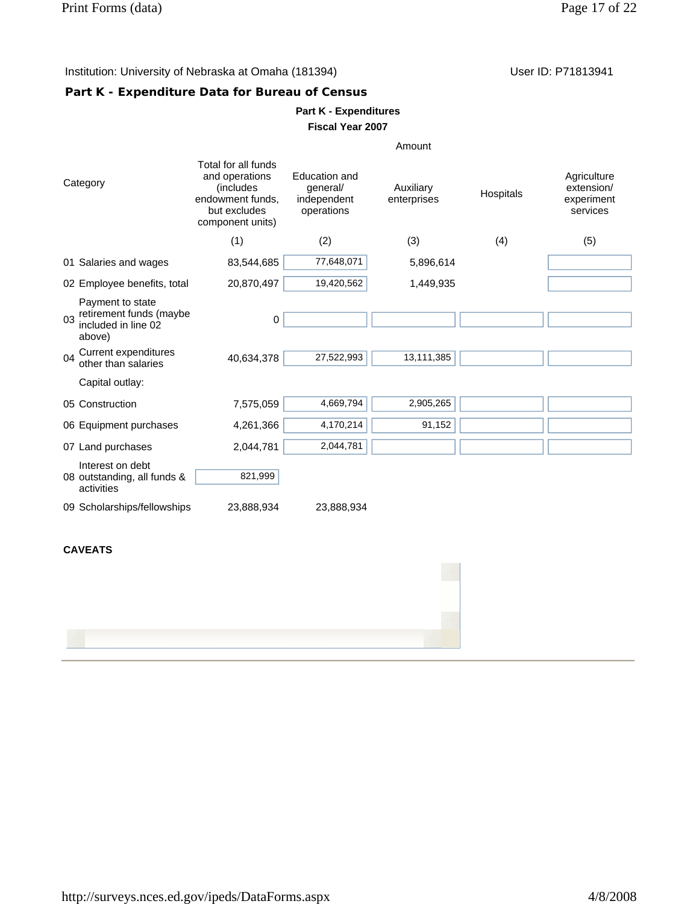## **Part K - Expenditure Data for Bureau of Census**

**Part K - Expenditures Fiscal Year 2007**

|                |                                                                              |                                                                                                            |                                                        | Amount                   |           |                                                     |
|----------------|------------------------------------------------------------------------------|------------------------------------------------------------------------------------------------------------|--------------------------------------------------------|--------------------------|-----------|-----------------------------------------------------|
|                | Category                                                                     | Total for all funds<br>and operations<br>(includes<br>endowment funds,<br>but excludes<br>component units) | Education and<br>general/<br>independent<br>operations | Auxiliary<br>enterprises | Hospitals | Agriculture<br>extension/<br>experiment<br>services |
|                |                                                                              | (1)                                                                                                        | (2)                                                    | (3)                      | (4)       | (5)                                                 |
|                | 01 Salaries and wages                                                        | 83,544,685                                                                                                 | 77,648,071                                             | 5,896,614                |           |                                                     |
|                | 02 Employee benefits, total                                                  | 20,870,497                                                                                                 | 19,420,562                                             | 1,449,935                |           |                                                     |
| 0 <sub>3</sub> | Payment to state<br>retirement funds (maybe<br>included in line 02<br>above) | 0                                                                                                          |                                                        |                          |           |                                                     |
| 04             | Current expenditures<br>other than salaries                                  | 40,634,378                                                                                                 | 27,522,993                                             | 13,111,385               |           |                                                     |
|                | Capital outlay:                                                              |                                                                                                            |                                                        |                          |           |                                                     |
|                | 05 Construction                                                              | 7,575,059                                                                                                  | 4,669,794                                              | 2,905,265                |           |                                                     |
|                | 06 Equipment purchases                                                       | 4,261,366                                                                                                  | 4,170,214                                              | 91,152                   |           |                                                     |
|                | 07 Land purchases                                                            | 2,044,781                                                                                                  | 2,044,781                                              |                          |           |                                                     |
|                | Interest on debt<br>08 outstanding, all funds &<br>activities                | 821,999                                                                                                    |                                                        |                          |           |                                                     |
|                | 09 Scholarships/fellowships                                                  | 23,888,934                                                                                                 | 23,888,934                                             |                          |           |                                                     |

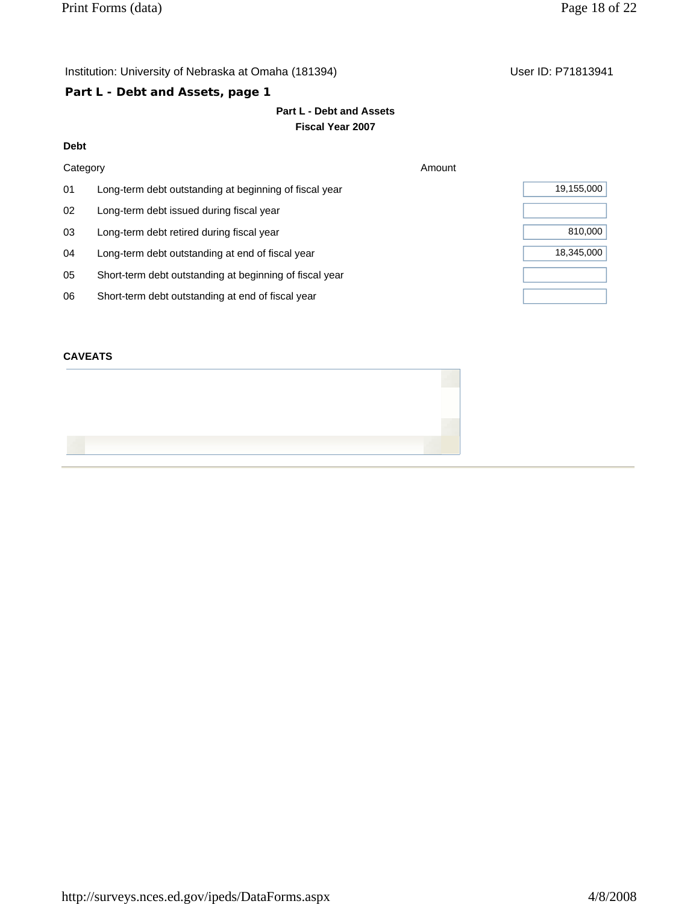## **Part L - Debt and Assets, page 1**

## **Part L - Debt and Assets Fiscal Year 2007**

| <b>Debt</b> |                                                         |        |            |
|-------------|---------------------------------------------------------|--------|------------|
| Category    |                                                         | Amount |            |
| 01          | Long-term debt outstanding at beginning of fiscal year  |        | 19,155,000 |
| 02          | Long-term debt issued during fiscal year                |        |            |
| 03          | Long-term debt retired during fiscal year               |        | 810,000    |
| 04          | Long-term debt outstanding at end of fiscal year        |        | 18,345,000 |
| 05          | Short-term debt outstanding at beginning of fiscal year |        |            |
| 06          | Short-term debt outstanding at end of fiscal year       |        |            |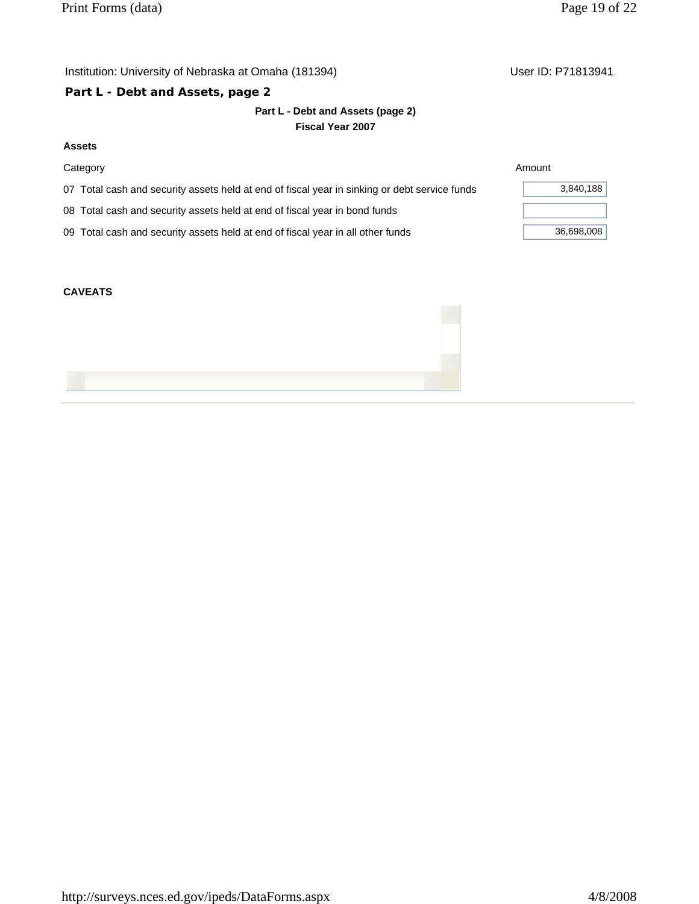## **Part L - Debt and Assets, page 2**

## **Part L - Debt and Assets (page 2) Fiscal Year 2007**

| Category |                                                                                               | Amount     |
|----------|-----------------------------------------------------------------------------------------------|------------|
|          | 07 Total cash and security assets held at end of fiscal year in sinking or debt service funds | 3,840,188  |
|          | 08 Total cash and security assets held at end of fiscal year in bond funds                    |            |
|          | 09 Total cash and security assets held at end of fiscal year in all other funds               | 36,698,008 |

#### **CAVEATS**

**Assets**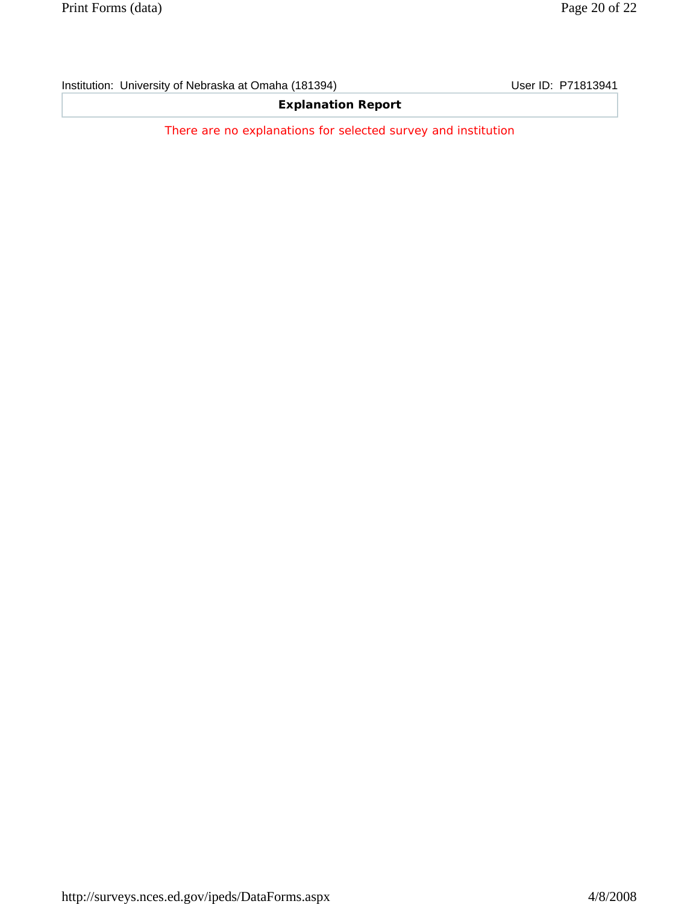## **Explanation Report**

There are no explanations for selected survey and institution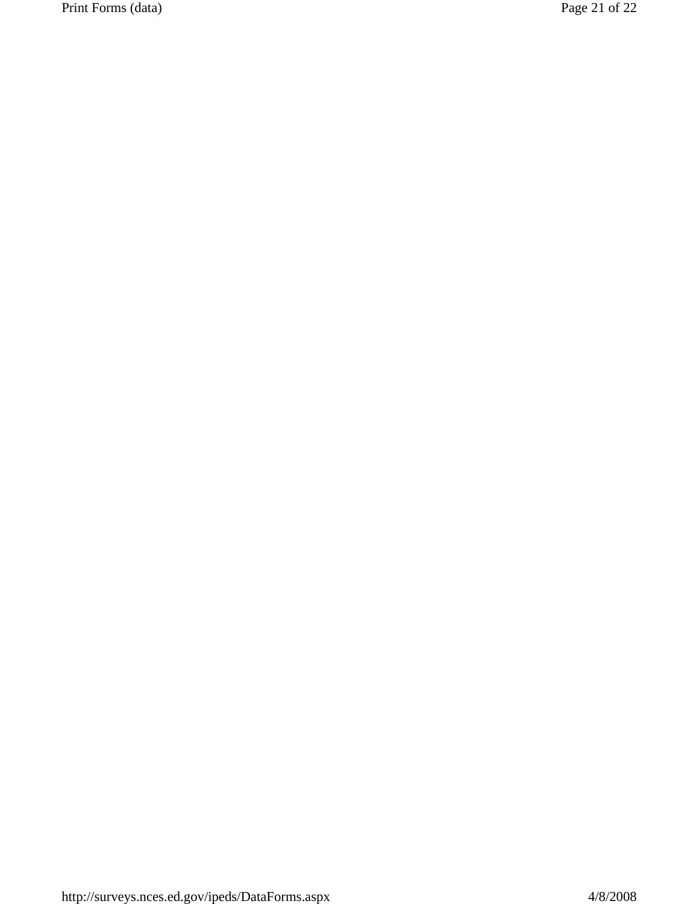Print Forms (data) Page 21 of 22